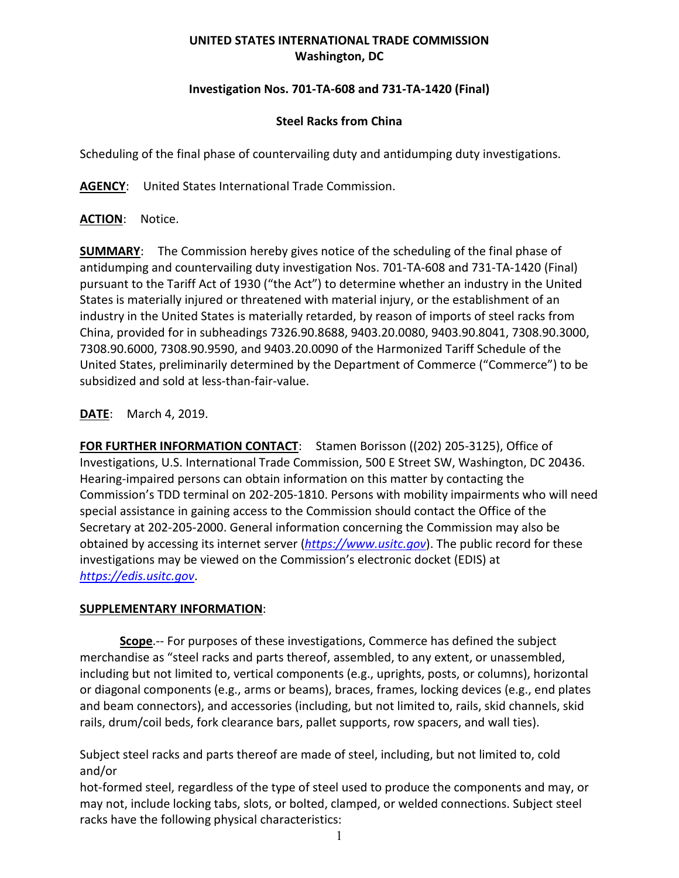## **UNITED STATES INTERNATIONAL TRADE COMMISSION Washington, DC**

## **Investigation Nos. 701-TA-608 and 731-TA-1420 (Final)**

## **Steel Racks from China**

Scheduling of the final phase of countervailing duty and antidumping duty investigations.

**AGENCY**: United States International Trade Commission.

**ACTION**: Notice.

**SUMMARY**: The Commission hereby gives notice of the scheduling of the final phase of antidumping and countervailing duty investigation Nos. 701-TA-608 and 731-TA-1420 (Final) pursuant to the Tariff Act of 1930 ("the Act") to determine whether an industry in the United States is materially injured or threatened with material injury, or the establishment of an industry in the United States is materially retarded, by reason of imports of steel racks from China, provided for in subheadings 7326.90.8688, 9403.20.0080, 9403.90.8041, 7308.90.3000, 7308.90.6000, 7308.90.9590, and 9403.20.0090 of the Harmonized Tariff Schedule of the United States, preliminarily determined by the Department of Commerce ("Commerce") to be subsidized and sold at less-than-fair-value.

**DATE**: March 4, 2019.

**FOR FURTHER INFORMATION CONTACT**: Stamen Borisson ((202) 205-3125), Office of Investigations, U.S. International Trade Commission, 500 E Street SW, Washington, DC 20436. Hearing-impaired persons can obtain information on this matter by contacting the Commission's TDD terminal on 202-205-1810. Persons with mobility impairments who will need special assistance in gaining access to the Commission should contact the Office of the Secretary at 202-205-2000. General information concerning the Commission may also be obtained by accessing its internet server (*[https://www.usitc.gov](https://www.usitc.gov/)*). The public record for these investigations may be viewed on the Commission's electronic docket (EDIS) at *[https://edis.usitc.gov](https://edis.usitc.gov/)*.

## **SUPPLEMENTARY INFORMATION**:

**Scope**.-- For purposes of these investigations, Commerce has defined the subject merchandise as "steel racks and parts thereof, assembled, to any extent, or unassembled, including but not limited to, vertical components (e.g., uprights, posts, or columns), horizontal or diagonal components (e.g., arms or beams), braces, frames, locking devices (e.g., end plates and beam connectors), and accessories (including, but not limited to, rails, skid channels, skid rails, drum/coil beds, fork clearance bars, pallet supports, row spacers, and wall ties).

Subject steel racks and parts thereof are made of steel, including, but not limited to, cold and/or

hot-formed steel, regardless of the type of steel used to produce the components and may, or may not, include locking tabs, slots, or bolted, clamped, or welded connections. Subject steel racks have the following physical characteristics: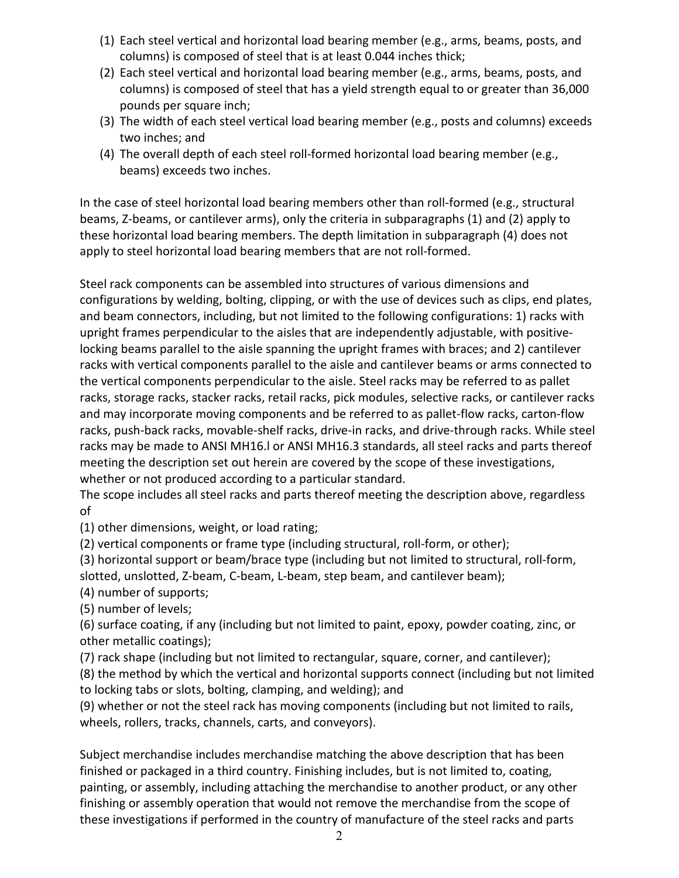- (1) Each steel vertical and horizontal load bearing member (e.g., arms, beams, posts, and columns) is composed of steel that is at least 0.044 inches thick;
- (2) Each steel vertical and horizontal load bearing member (e.g., arms, beams, posts, and columns) is composed of steel that has a yield strength equal to or greater than 36,000 pounds per square inch;
- (3) The width of each steel vertical load bearing member (e.g., posts and columns) exceeds two inches; and
- (4) The overall depth of each steel roll-formed horizontal load bearing member (e.g., beams) exceeds two inches.

In the case of steel horizontal load bearing members other than roll-formed (e.g., structural beams, Z-beams, or cantilever arms), only the criteria in subparagraphs (1) and (2) apply to these horizontal load bearing members. The depth limitation in subparagraph (4) does not apply to steel horizontal load bearing members that are not roll-formed.

Steel rack components can be assembled into structures of various dimensions and configurations by welding, bolting, clipping, or with the use of devices such as clips, end plates, and beam connectors, including, but not limited to the following configurations: 1) racks with upright frames perpendicular to the aisles that are independently adjustable, with positivelocking beams parallel to the aisle spanning the upright frames with braces; and 2) cantilever racks with vertical components parallel to the aisle and cantilever beams or arms connected to the vertical components perpendicular to the aisle. Steel racks may be referred to as pallet racks, storage racks, stacker racks, retail racks, pick modules, selective racks, or cantilever racks and may incorporate moving components and be referred to as pallet-flow racks, carton-flow racks, push-back racks, movable-shelf racks, drive-in racks, and drive-through racks. While steel racks may be made to ANSI MH16.l or ANSI MH16.3 standards, all steel racks and parts thereof meeting the description set out herein are covered by the scope of these investigations, whether or not produced according to a particular standard.

The scope includes all steel racks and parts thereof meeting the description above, regardless of

(1) other dimensions, weight, or load rating;

(2) vertical components or frame type (including structural, roll-form, or other);

(3) horizontal support or beam/brace type (including but not limited to structural, roll-form, slotted, unslotted, Z-beam, C-beam, L-beam, step beam, and cantilever beam);

(4) number of supports;

(5) number of levels;

(6) surface coating, if any (including but not limited to paint, epoxy, powder coating, zinc, or other metallic coatings);

(7) rack shape (including but not limited to rectangular, square, corner, and cantilever);

(8) the method by which the vertical and horizontal supports connect (including but not limited to locking tabs or slots, bolting, clamping, and welding); and

(9) whether or not the steel rack has moving components (including but not limited to rails, wheels, rollers, tracks, channels, carts, and conveyors).

Subject merchandise includes merchandise matching the above description that has been finished or packaged in a third country. Finishing includes, but is not limited to, coating, painting, or assembly, including attaching the merchandise to another product, or any other finishing or assembly operation that would not remove the merchandise from the scope of these investigations if performed in the country of manufacture of the steel racks and parts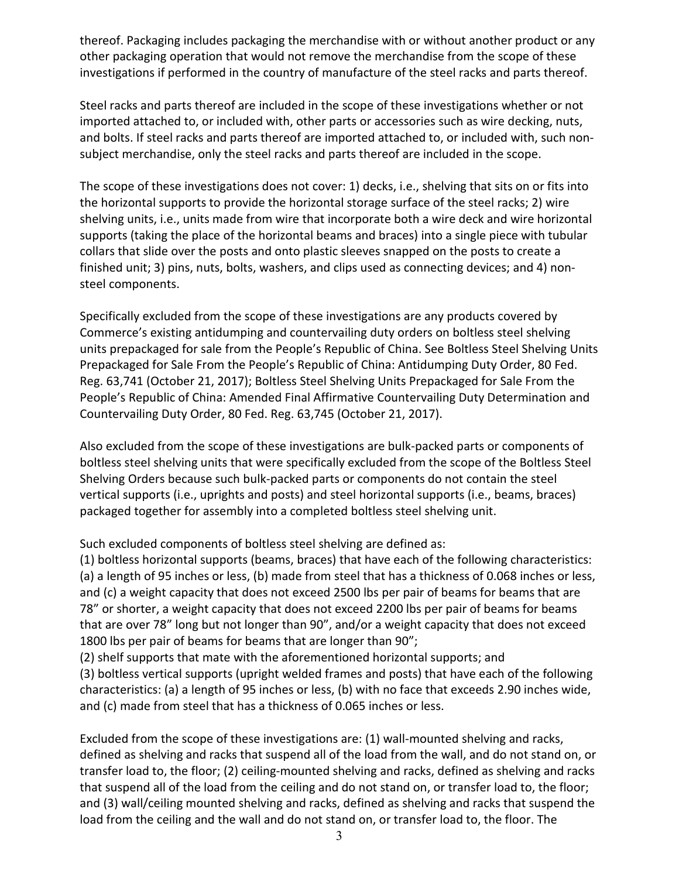thereof. Packaging includes packaging the merchandise with or without another product or any other packaging operation that would not remove the merchandise from the scope of these investigations if performed in the country of manufacture of the steel racks and parts thereof.

Steel racks and parts thereof are included in the scope of these investigations whether or not imported attached to, or included with, other parts or accessories such as wire decking, nuts, and bolts. If steel racks and parts thereof are imported attached to, or included with, such nonsubject merchandise, only the steel racks and parts thereof are included in the scope.

The scope of these investigations does not cover: 1) decks, i.e., shelving that sits on or fits into the horizontal supports to provide the horizontal storage surface of the steel racks; 2) wire shelving units, i.e., units made from wire that incorporate both a wire deck and wire horizontal supports (taking the place of the horizontal beams and braces) into a single piece with tubular collars that slide over the posts and onto plastic sleeves snapped on the posts to create a finished unit; 3) pins, nuts, bolts, washers, and clips used as connecting devices; and 4) nonsteel components.

Specifically excluded from the scope of these investigations are any products covered by Commerce's existing antidumping and countervailing duty orders on boltless steel shelving units prepackaged for sale from the People's Republic of China. See Boltless Steel Shelving Units Prepackaged for Sale From the People's Republic of China: Antidumping Duty Order, 80 Fed. Reg. 63,741 (October 21, 2017); Boltless Steel Shelving Units Prepackaged for Sale From the People's Republic of China: Amended Final Affirmative Countervailing Duty Determination and Countervailing Duty Order, 80 Fed. Reg. 63,745 (October 21, 2017).

Also excluded from the scope of these investigations are bulk-packed parts or components of boltless steel shelving units that were specifically excluded from the scope of the Boltless Steel Shelving Orders because such bulk-packed parts or components do not contain the steel vertical supports (i.e., uprights and posts) and steel horizontal supports (i.e., beams, braces) packaged together for assembly into a completed boltless steel shelving unit.

Such excluded components of boltless steel shelving are defined as:

(1) boltless horizontal supports (beams, braces) that have each of the following characteristics: (a) a length of 95 inches or less, (b) made from steel that has a thickness of 0.068 inches or less, and (c) a weight capacity that does not exceed 2500 lbs per pair of beams for beams that are 78" or shorter, a weight capacity that does not exceed 2200 lbs per pair of beams for beams that are over 78" long but not longer than 90", and/or a weight capacity that does not exceed 1800 lbs per pair of beams for beams that are longer than 90";

(2) shelf supports that mate with the aforementioned horizontal supports; and

(3) boltless vertical supports (upright welded frames and posts) that have each of the following characteristics: (a) a length of 95 inches or less, (b) with no face that exceeds 2.90 inches wide, and (c) made from steel that has a thickness of 0.065 inches or less.

Excluded from the scope of these investigations are: (1) wall-mounted shelving and racks, defined as shelving and racks that suspend all of the load from the wall, and do not stand on, or transfer load to, the floor; (2) ceiling-mounted shelving and racks, defined as shelving and racks that suspend all of the load from the ceiling and do not stand on, or transfer load to, the floor; and (3) wall/ceiling mounted shelving and racks, defined as shelving and racks that suspend the load from the ceiling and the wall and do not stand on, or transfer load to, the floor. The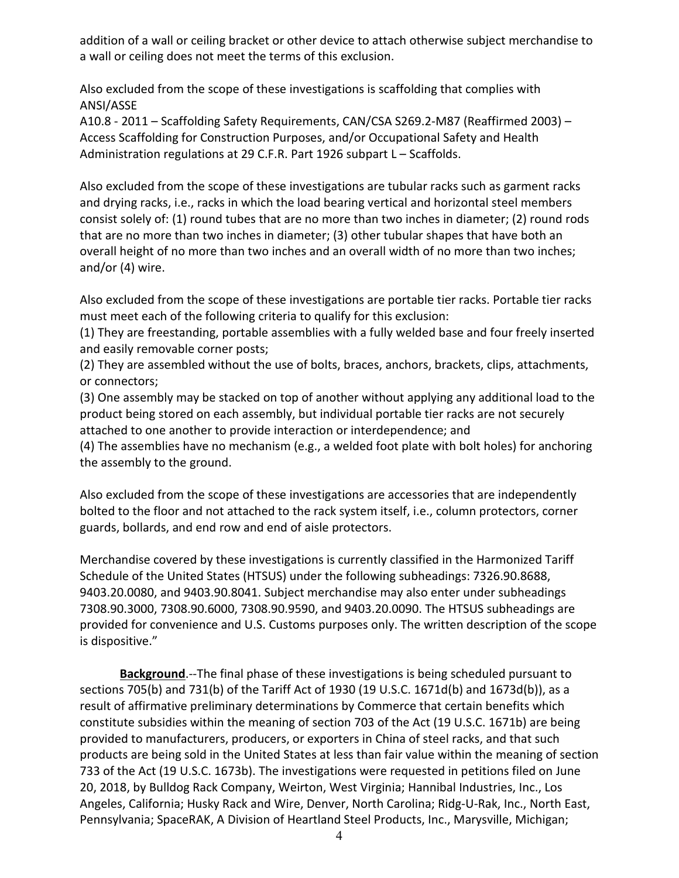addition of a wall or ceiling bracket or other device to attach otherwise subject merchandise to a wall or ceiling does not meet the terms of this exclusion.

Also excluded from the scope of these investigations is scaffolding that complies with ANSI/ASSE

A10.8 - 2011 – Scaffolding Safety Requirements, CAN/CSA S269.2-M87 (Reaffirmed 2003) – Access Scaffolding for Construction Purposes, and/or Occupational Safety and Health Administration regulations at 29 C.F.R. Part 1926 subpart L – Scaffolds.

Also excluded from the scope of these investigations are tubular racks such as garment racks and drying racks, i.e., racks in which the load bearing vertical and horizontal steel members consist solely of: (1) round tubes that are no more than two inches in diameter; (2) round rods that are no more than two inches in diameter; (3) other tubular shapes that have both an overall height of no more than two inches and an overall width of no more than two inches; and/or (4) wire.

Also excluded from the scope of these investigations are portable tier racks. Portable tier racks must meet each of the following criteria to qualify for this exclusion:

(1) They are freestanding, portable assemblies with a fully welded base and four freely inserted and easily removable corner posts;

(2) They are assembled without the use of bolts, braces, anchors, brackets, clips, attachments, or connectors;

(3) One assembly may be stacked on top of another without applying any additional load to the product being stored on each assembly, but individual portable tier racks are not securely attached to one another to provide interaction or interdependence; and

(4) The assemblies have no mechanism (e.g., a welded foot plate with bolt holes) for anchoring the assembly to the ground.

Also excluded from the scope of these investigations are accessories that are independently bolted to the floor and not attached to the rack system itself, i.e., column protectors, corner guards, bollards, and end row and end of aisle protectors.

Merchandise covered by these investigations is currently classified in the Harmonized Tariff Schedule of the United States (HTSUS) under the following subheadings: 7326.90.8688, 9403.20.0080, and 9403.90.8041. Subject merchandise may also enter under subheadings 7308.90.3000, 7308.90.6000, 7308.90.9590, and 9403.20.0090. The HTSUS subheadings are provided for convenience and U.S. Customs purposes only. The written description of the scope is dispositive."

**Background**.--The final phase of these investigations is being scheduled pursuant to sections 705(b) and 731(b) of the Tariff Act of 1930 (19 U.S.C. 1671d(b) and 1673d(b)), as a result of affirmative preliminary determinations by Commerce that certain benefits which constitute subsidies within the meaning of section 703 of the Act (19 U.S.C. 1671b) are being provided to manufacturers, producers, or exporters in China of steel racks, and that such products are being sold in the United States at less than fair value within the meaning of section 733 of the Act (19 U.S.C. 1673b). The investigations were requested in petitions filed on June 20, 2018, by Bulldog Rack Company, Weirton, West Virginia; Hannibal Industries, Inc., Los Angeles, California; Husky Rack and Wire, Denver, North Carolina; Ridg-U-Rak, Inc., North East, Pennsylvania; SpaceRAK, A Division of Heartland Steel Products, Inc., Marysville, Michigan;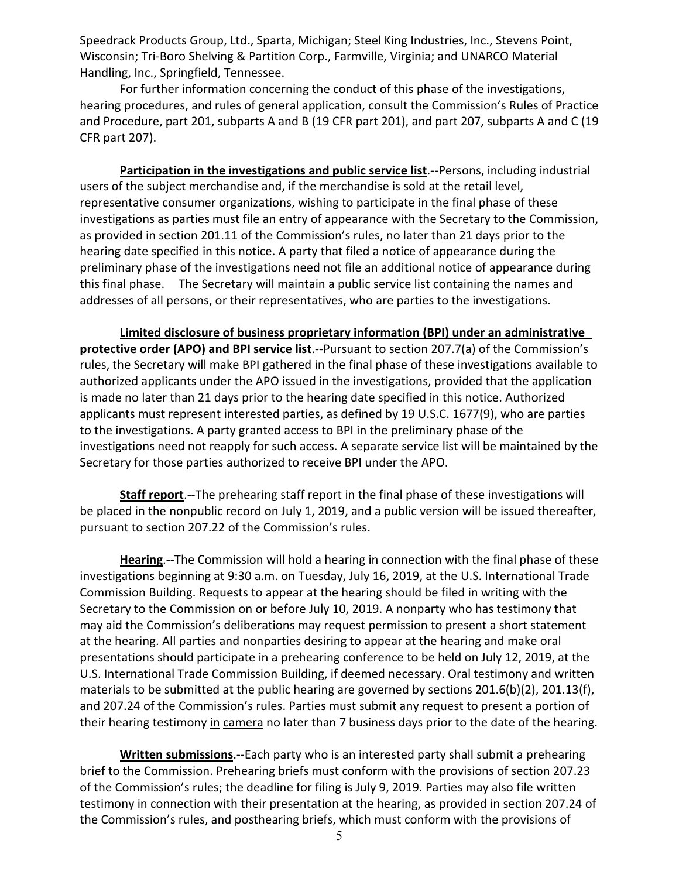Speedrack Products Group, Ltd., Sparta, Michigan; Steel King Industries, Inc., Stevens Point, Wisconsin; Tri-Boro Shelving & Partition Corp., Farmville, Virginia; and UNARCO Material Handling, Inc., Springfield, Tennessee.

For further information concerning the conduct of this phase of the investigations, hearing procedures, and rules of general application, consult the Commission's Rules of Practice and Procedure, part 201, subparts A and B (19 CFR part 201), and part 207, subparts A and C (19 CFR part 207).

**Participation in the investigations and public service list.**--Persons, including industrial users of the subject merchandise and, if the merchandise is sold at the retail level, representative consumer organizations, wishing to participate in the final phase of these investigations as parties must file an entry of appearance with the Secretary to the Commission, as provided in section 201.11 of the Commission's rules, no later than 21 days prior to the hearing date specified in this notice. A party that filed a notice of appearance during the preliminary phase of the investigations need not file an additional notice of appearance during this final phase. The Secretary will maintain a public service list containing the names and addresses of all persons, or their representatives, who are parties to the investigations.

**Limited disclosure of business proprietary information (BPI) under an administrative protective order (APO) and BPI service list**.--Pursuant to section 207.7(a) of the Commission's rules, the Secretary will make BPI gathered in the final phase of these investigations available to authorized applicants under the APO issued in the investigations, provided that the application is made no later than 21 days prior to the hearing date specified in this notice. Authorized applicants must represent interested parties, as defined by 19 U.S.C. 1677(9), who are parties to the investigations. A party granted access to BPI in the preliminary phase of the investigations need not reapply for such access. A separate service list will be maintained by the Secretary for those parties authorized to receive BPI under the APO.

**Staff report**.--The prehearing staff report in the final phase of these investigations will be placed in the nonpublic record on July 1, 2019, and a public version will be issued thereafter, pursuant to section 207.22 of the Commission's rules.

**Hearing**.--The Commission will hold a hearing in connection with the final phase of these investigations beginning at 9:30 a.m. on Tuesday, July 16, 2019, at the U.S. International Trade Commission Building. Requests to appear at the hearing should be filed in writing with the Secretary to the Commission on or before July 10, 2019. A nonparty who has testimony that may aid the Commission's deliberations may request permission to present a short statement at the hearing. All parties and nonparties desiring to appear at the hearing and make oral presentations should participate in a prehearing conference to be held on July 12, 2019, at the U.S. International Trade Commission Building, if deemed necessary. Oral testimony and written materials to be submitted at the public hearing are governed by sections 201.6(b)(2), 201.13(f), and 207.24 of the Commission's rules. Parties must submit any request to present a portion of their hearing testimony in camera no later than 7 business days prior to the date of the hearing.

**Written submissions**.--Each party who is an interested party shall submit a prehearing brief to the Commission. Prehearing briefs must conform with the provisions of section 207.23 of the Commission's rules; the deadline for filing is July 9, 2019. Parties may also file written testimony in connection with their presentation at the hearing, as provided in section 207.24 of the Commission's rules, and posthearing briefs, which must conform with the provisions of